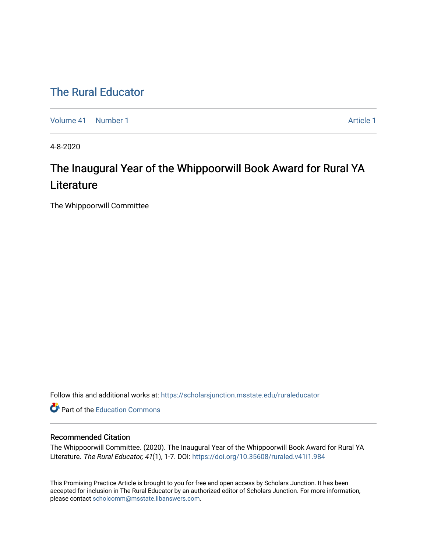# [The Rural Educator](https://scholarsjunction.msstate.edu/ruraleducator)

[Volume 41](https://scholarsjunction.msstate.edu/ruraleducator/vol41) [Number 1](https://scholarsjunction.msstate.edu/ruraleducator/vol41/iss1) Article 1

4-8-2020

# The Inaugural Year of the Whippoorwill Book Award for Rural YA **Literature**

The Whippoorwill Committee

Follow this and additional works at: [https://scholarsjunction.msstate.edu/ruraleducator](https://scholarsjunction.msstate.edu/ruraleducator?utm_source=scholarsjunction.msstate.edu%2Fruraleducator%2Fvol41%2Fiss1%2F1&utm_medium=PDF&utm_campaign=PDFCoverPages)

**C** Part of the [Education Commons](http://network.bepress.com/hgg/discipline/784?utm_source=scholarsjunction.msstate.edu%2Fruraleducator%2Fvol41%2Fiss1%2F1&utm_medium=PDF&utm_campaign=PDFCoverPages)

## Recommended Citation

The Whippoorwill Committee. (2020). The Inaugural Year of the Whippoorwill Book Award for Rural YA Literature. The Rural Educator, 41(1), 1-7. DOI: <https://doi.org/10.35608/ruraled.v41i1.984>

This Promising Practice Article is brought to you for free and open access by Scholars Junction. It has been accepted for inclusion in The Rural Educator by an authorized editor of Scholars Junction. For more information, please contact [scholcomm@msstate.libanswers.com.](mailto:scholcomm@msstate.libanswers.com)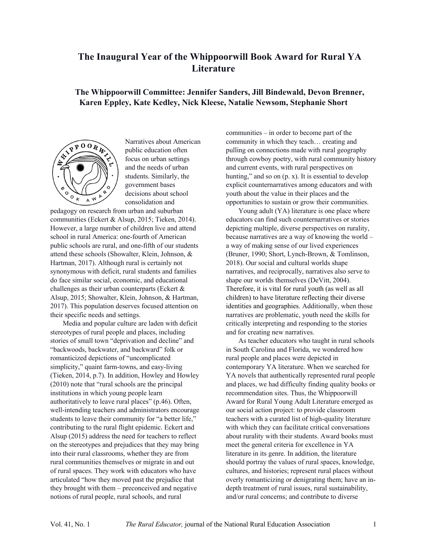# **The Inaugural Year of the Whippoorwill Book Award for Rural YA Literature**

# **The Whippoorwill Committee: Jennifer Sanders, Jill Bindewald, Devon Brenner, Karen Eppley, Kate Kedley, Nick Kleese, Natalie Newsom, Stephanie Short**



Narratives about American public education often focus on urban settings and the needs of urban students. Similarly, the government bases decisions about school consolidation and

pedagogy on research from urban and suburban communities (Eckert & Alsup, 2015; Tieken, 2014). However, a large number of children live and attend school in rural America: one-fourth of American public schools are rural, and one-fifth of our students attend these schools (Showalter, Klein, Johnson, & Hartman, 2017). Although rural is certainly not synonymous with deficit, rural students and families do face similar social, economic, and educational challenges as their urban counterparts (Eckert & Alsup, 2015; Showalter, Klein, Johnson, & Hartman, 2017). This population deserves focused attention on their specific needs and settings.

Media and popular culture are laden with deficit stereotypes of rural people and places, including stories of small town "deprivation and decline" and "backwoods, backwater, and backward" folk or romanticized depictions of "uncomplicated simplicity," quaint farm-towns, and easy-living (Tieken, 2014, p.7). In addition, Howley and Howley (2010) note that "rural schools are the principal institutions in which young people learn authoritatively to leave rural places" (p.46). Often, well-intending teachers and administrators encourage students to leave their community for "a better life," contributing to the rural flight epidemic. Eckert and Alsup (2015) address the need for teachers to reflect on the stereotypes and prejudices that they may bring into their rural classrooms, whether they are from rural communities themselves or migrate in and out of rural spaces. They work with educators who have articulated "how they moved past the prejudice that they brought with them – preconceived and negative notions of rural people, rural schools, and rural

communities – in order to become part of the community in which they teach… creating and pulling on connections made with rural geography through cowboy poetry, with rural community history and current events, with rural perspectives on hunting," and so on  $(p, x)$ . It is essential to develop explicit counternarratives among educators and with youth about the value in their places and the opportunities to sustain or grow their communities.

Young adult (YA) literature is one place where educators can find such counternarratives or stories depicting multiple, diverse perspectives on rurality, because narratives are a way of knowing the world – a way of making sense of our lived experiences (Bruner, 1990; Short, Lynch-Brown, & Tomlinson, 2018). Our social and cultural worlds shape narratives, and reciprocally, narratives also serve to shape our worlds themselves (DeVitt, 2004). Therefore, it is vital for rural youth (as well as all children) to have literature reflecting their diverse identities and geographies. Additionally, when those narratives are problematic, youth need the skills for critically interpreting and responding to the stories and for creating new narratives.

As teacher educators who taught in rural schools in South Carolina and Florida, we wondered how rural people and places were depicted in contemporary YA literature. When we searched for YA novels that authentically represented rural people and places, we had difficulty finding quality books or recommendation sites. Thus, the Whippoorwill Award for Rural Young Adult Literature emerged as our social action project: to provide classroom teachers with a curated list of high-quality literature with which they can facilitate critical conversations about rurality with their students. Award books must meet the general criteria for excellence in YA literature in its genre. In addition, the literature should portray the values of rural spaces, knowledge, cultures, and histories; represent rural places without overly romanticizing or denigrating them; have an indepth treatment of rural issues, rural sustainability, and/or rural concerns; and contribute to diverse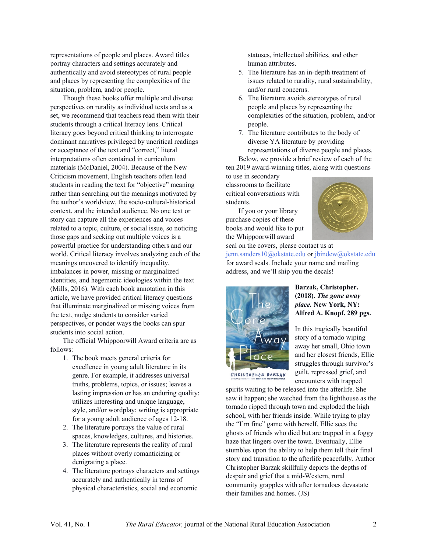representations of people and places. Award titles portray characters and settings accurately and authentically and avoid stereotypes of rural people and places by representing the complexities of the situation, problem, and/or people.

Though these books offer multiple and diverse perspectives on rurality as individual texts and as a set, we recommend that teachers read them with their students through a critical literacy lens. Critical literacy goes beyond critical thinking to interrogate dominant narratives privileged by uncritical readings or acceptance of the text and "correct," literal interpretations often contained in curriculum materials (McDaniel, 2004). Because of the New Criticism movement, English teachers often lead students in reading the text for "objective" meaning rather than searching out the meanings motivated by the author's worldview, the socio-cultural-historical context, and the intended audience. No one text or story can capture all the experiences and voices related to a topic, culture, or social issue, so noticing those gaps and seeking out multiple voices is a powerful practice for understanding others and our world. Critical literacy involves analyzing each of the meanings uncovered to identify inequality, imbalances in power, missing or marginalized identities, and hegemonic ideologies within the text (Mills, 2016). With each book annotation in this article, we have provided critical literacy questions that illuminate marginalized or missing voices from the text, nudge students to consider varied perspectives, or ponder ways the books can spur students into social action.

The official Whippoorwill Award criteria are as follows:

- 1. The book meets general criteria for excellence in young adult literature in its genre. For example, it addresses universal truths, problems, topics, or issues; leaves a lasting impression or has an enduring quality; utilizes interesting and unique language, style, and/or wordplay; writing is appropriate for a young adult audience of ages 12-18.
- 2. The literature portrays the value of rural spaces, knowledges, cultures, and histories.
- 3. The literature represents the reality of rural places without overly romanticizing or denigrating a place.
- 4. The literature portrays characters and settings accurately and authentically in terms of physical characteristics, social and economic

statuses, intellectual abilities, and other human attributes.

- 5. The literature has an in-depth treatment of issues related to rurality, rural sustainability, and/or rural concerns.
- 6. The literature avoids stereotypes of rural people and places by representing the complexities of the situation, problem, and/or people.
- 7. The literature contributes to the body of diverse YA literature by providing

representations of diverse people and places. Below, we provide a brief review of each of the

ten 2019 award-winning titles, along with questions to use in secondary

classrooms to facilitate critical conversations with students.

If you or your library purchase copies of these books and would like to put the Whippoorwill award



seal on the covers, please contact us at jenn.sanders10@okstate.edu or jbindew@okstate.edu for award seals. Include your name and mailing address, and we'll ship you the decals!



**Barzak, Christopher. (2018).** *The gone away place.* **New York, NY: Alfred A. Knopf. 289 pgs.**

In this tragically beautiful story of a tornado wiping away her small, Ohio town and her closest friends, Ellie struggles through survivor's guilt, repressed grief, and encounters with trapped

spirits waiting to be released into the afterlife. She saw it happen; she watched from the lighthouse as the tornado ripped through town and exploded the high school, with her friends inside. While trying to play the "I'm fine" game with herself, Ellie sees the ghosts of friends who died but are trapped in a foggy haze that lingers over the town. Eventually, Ellie stumbles upon the ability to help them tell their final story and transition to the afterlife peacefully. Author Christopher Barzak skillfully depicts the depths of despair and grief that a mid-Western, rural community grapples with after tornadoes devastate their families and homes. (JS)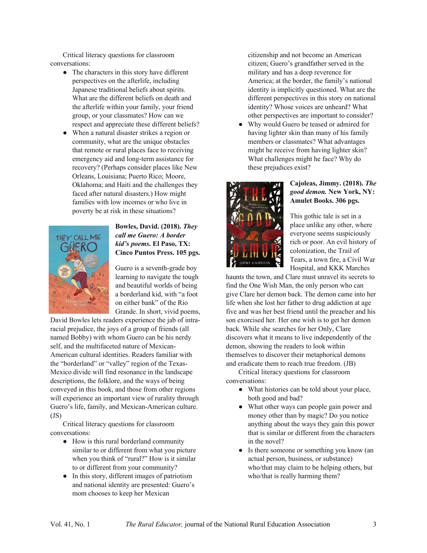Critical literacy questions for classroom conversations:

- The characters in this story have different perspectives on the afterlife, including Japanese traditional beliefs about spirits. What are the different beliefs on death and the afterlife within your family, your friend group, or your classmates? How can we respect and appreciate these different beliefs?
- When a natural disaster strikes a region or community, what are the unique obstacles that remote or rural places face to receiving emergency aid and long-term assistance for recovery? (Perhaps consider places like New Orleans, Louisiana; Puerto Rico; Moore, Oklahoma; and Haiti and the challenges they faced after natural disasters.) How might families with low incomes or who live in poverty be at risk in these situations?



#### **Bowles, David. (2018).** *They call me Guero: A border kid's poems***. El Paso, TX: Cinco Puntos Press. 105 pgs.**

Guero is a seventh-grade boy learning to navigate the tough and beautiful worlds of being a borderland kid, with "a foot on either bank" of the Rio Grande. In short, vivid poems,

David Bowles lets readers experience the jab of intraracial prejudice, the joys of a group of friends (all named Bobby) with whom Guero can be his nerdy self, and the multifaceted nature of Mexican-American cultural identities. Readers familiar with the "borderland" or "valley" region of the Texas-Mexico divide will find resonance in the landscape descriptions, the folklore, and the ways of being conveyed in this book, and those from other regions will experience an important view of rurality through Guero's life, family, and Mexican-American culture.  $(JS)$ 

Critical literacy questions for classroom conversations:

- How is this rural borderland community similar to or different from what you picture when you think of "rural?" How is it similar to or different from your community?
- In this story, different images of patriotism and national identity are presented: Guero's mom chooses to keep her Mexican

citizenship and not become an American citizen; Guero's grandfather served in the military and has a deep reverence for America; at the border, the family's national identity is implicitly questioned. What are the different perspectives in this story on national identity? Whose voices are unheard? What other perspectives are important to consider?

● Why would Guero be teased or admired for having lighter skin than many of his family members or classmates? What advantages might he receive from having lighter skin? What challenges might he face? Why do these prejudices exist?



#### **Cajoleas, Jimmy. (2018).** *The good demon.* **New York, NY: Amulet Books. 306 pgs.**

This gothic tale is set in a place unlike any other, where everyone seems suspiciously rich or poor. An evil history of colonization, the Trail of Tears, a town fire, a Civil War Hospital, and KKK Marches

haunts the town, and Clare must unravel its secrets to find the One Wish Man, the only person who can give Clare her demon back. The demon came into her life when she lost her father to drug addiction at age five and was her best friend until the preacher and his son exorcised her. Her one wish is to get her demon back. While she searches for her Only, Clare discovers what it means to live independently of the demon, showing the readers to look within themselves to discover their metaphorical demons and eradicate them to reach true freedom. (JB)

Critical literacy questions for classroom conversations:

- What histories can be told about your place, both good and bad?
- What other ways can people gain power and money other than by magic? Do you notice anything about the ways they gain this power that is similar or different from the characters in the novel?
- Is there someone or something you know (an actual person, business, or substance) who/that may claim to be helping others, but who/that is really harming them?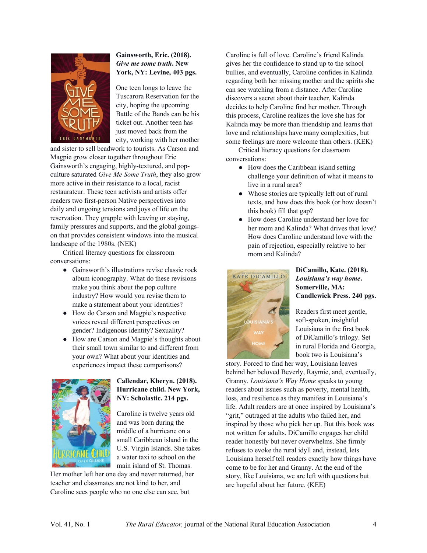

## **Gainsworth, Eric. (2018).**  *Give me some truth***. New York, NY: Levine, 403 pgs.**

One teen longs to leave the Tuscarora Reservation for the city, hoping the upcoming Battle of the Bands can be his ticket out. Another teen has just moved back from the city, working with her mother

and sister to sell beadwork to tourists. As Carson and Magpie grow closer together throughout Eric Gainsworth's engaging, highly-textured, and popculture saturated *Give Me Some Truth*, they also grow more active in their resistance to a local, racist restaurateur. These teen activists and artists offer readers two first-person Native perspectives into daily and ongoing tensions and joys of life on the reservation. They grapple with leaving or staying, family pressures and supports, and the global goingson that provides consistent windows into the musical landscape of the 1980s. (NEK)

Critical literacy questions for classroom conversations:

- Gainsworth's illustrations revise classic rock album iconography. What do these revisions make you think about the pop culture industry? How would you revise them to make a statement about your identities?
- How do Carson and Magpie's respective voices reveal different perspectives on gender? Indigenous identity? Sexuality?
- How are Carson and Magpie's thoughts about their small town similar to and different from your own? What about your identities and experiences impact these comparisons?



#### **Callendar, Kheryn. (2018). Hurricane child. New York, NY: Scholastic. 214 pgs.**

Caroline is twelve years old and was born during the middle of a hurricane on a small Caribbean island in the U.S. Virgin Islands. She takes a water taxi to school on the main island of St. Thomas.

Her mother left her one day and never returned, her teacher and classmates are not kind to her, and Caroline sees people who no one else can see, but

Caroline is full of love. Caroline's friend Kalinda gives her the confidence to stand up to the school bullies, and eventually, Caroline confides in Kalinda regarding both her missing mother and the spirits she can see watching from a distance. After Caroline discovers a secret about their teacher, Kalinda decides to help Caroline find her mother. Through this process, Caroline realizes the love she has for Kalinda may be more than friendship and learns that love and relationships have many complexities, but some feelings are more welcome than others. (KEK)

Critical literacy questions for classroom conversations:

- How does the Caribbean island setting challenge your definition of what it means to live in a rural area?
- Whose stories are typically left out of rural texts, and how does this book (or how doesn't this book) fill that gap?
- How does Caroline understand her love for her mom and Kalinda? What drives that love? How does Caroline understand love with the pain of rejection, especially relative to her mom and Kalinda?



#### **DiCamillo, Kate. (2018).**  *Louisiana's way home***. Somerville, MA: Candlewick Press. 240 pgs.**

Readers first meet gentle, soft-spoken, insightful Louisiana in the first book of DiCamillo's trilogy. Set in rural Florida and Georgia, book two is Louisiana's

story. Forced to find her way, Louisiana leaves behind her beloved Beverly, Raymie, and, eventually, Granny. *Louisiana's Way Home* speaks to young readers about issues such as poverty, mental health, loss, and resilience as they manifest in Louisiana's life. Adult readers are at once inspired by Louisiana's "grit," outraged at the adults who failed her, and inspired by those who pick her up. But this book was not written for adults. DiCamillo engages her child reader honestly but never overwhelms. She firmly refuses to evoke the rural idyll and, instead, lets Louisiana herself tell readers exactly how things have come to be for her and Granny. At the end of the story, like Louisiana, we are left with questions but are hopeful about her future. (KEE)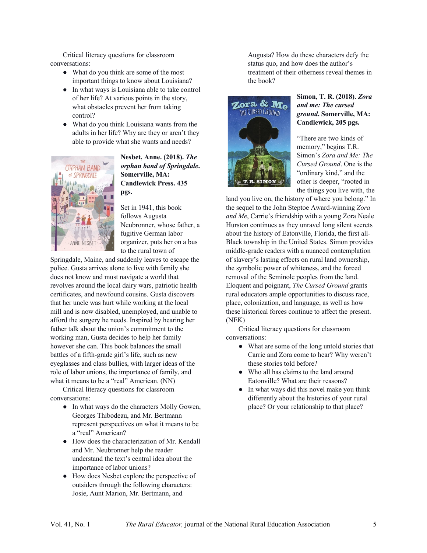Critical literacy questions for classroom conversations:

- What do you think are some of the most important things to know about Louisiana?
- In what ways is Louisiana able to take control of her life? At various points in the story, what obstacles prevent her from taking control?
- What do you think Louisiana wants from the adults in her life? Why are they or aren't they able to provide what she wants and needs?



**Nesbet, Anne. (2018).** *The orphan band of Springdale***. Somerville, MA: Candlewick Press. 435 pgs.** 

Set in 1941, this book follows Augusta Neubronner, whose father, a fugitive German labor organizer, puts her on a bus to the rural town of

Springdale, Maine, and suddenly leaves to escape the police. Gusta arrives alone to live with family she does not know and must navigate a world that revolves around the local dairy wars, patriotic health certificates, and newfound cousins. Gusta discovers that her uncle was hurt while working at the local mill and is now disabled, unemployed, and unable to afford the surgery he needs. Inspired by hearing her father talk about the union's commitment to the working man, Gusta decides to help her family however she can. This book balances the small battles of a fifth-grade girl's life, such as new eyeglasses and class bullies, with larger ideas of the role of labor unions, the importance of family, and what it means to be a "real" American. (NN)

Critical literacy questions for classroom conversations:

- In what ways do the characters Molly Gowen, Georges Thibodeau, and Mr. Bertmann represent perspectives on what it means to be a "real" American?
- How does the characterization of Mr. Kendall and Mr. Neubronner help the reader understand the text's central idea about the importance of labor unions?
- How does Nesbet explore the perspective of outsiders through the following characters: Josie, Aunt Marion, Mr. Bertmann, and

Augusta? How do these characters defy the status quo, and how does the author's treatment of their otherness reveal themes in the book?



### **Simon, T. R. (2018).** *Zora and me: The cursed ground***. Somerville, MA: Candlewick, 205 pgs.**

"There are two kinds of memory," begins T.R. Simon's *Zora and Me: The Cursed Ground*. One is the "ordinary kind," and the other is deeper, "rooted in the things you live with, the

land you live on, the history of where you belong." In the sequel to the John Steptoe Award-winning *Zora and Me*, Carrie's friendship with a young Zora Neale Hurston continues as they unravel long silent secrets about the history of Eatonville, Florida, the first all-Black township in the United States. Simon provides middle-grade readers with a nuanced contemplation of slavery's lasting effects on rural land ownership, the symbolic power of whiteness, and the forced removal of the Seminole peoples from the land. Eloquent and poignant, *The Cursed Ground* grants rural educators ample opportunities to discuss race, place, colonization, and language, as well as how these historical forces continue to affect the present. (NEK)

Critical literacy questions for classroom conversations:

- What are some of the long untold stories that Carrie and Zora come to hear? Why weren't these stories told before?
- Who all has claims to the land around Eatonville? What are their reasons?
- In what ways did this novel make you think differently about the histories of your rural place? Or your relationship to that place?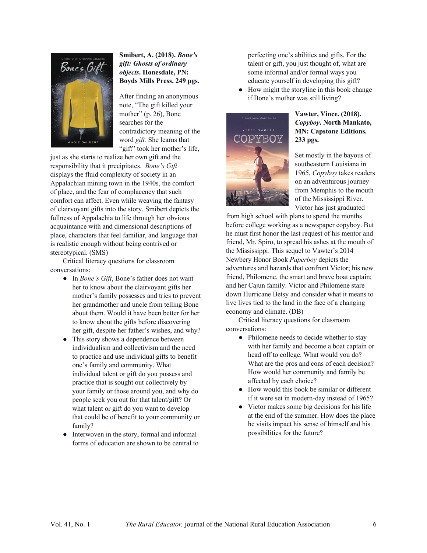

### **Smibert, A. (2018).** *Bone's gift: Ghosts of ordinary objects***. Honesdale, PN: Boyds Mills Press. 249 pgs.**

After finding an anonymous note, "The gift killed your mother" (p. 26), Bone searches for the contradictory meaning of the word *gift.* She learns that "gift" took her mother's life,

just as she starts to realize her own gift and the responsibility that it precipitates. *Bone's Gift* displays the fluid complexity of society in an Appalachian mining town in the 1940s, the comfort of place, and the fear of complacency that such comfort can affect. Even while weaving the fantasy of clairvoyant gifts into the story, Smibert depicts the fullness of Appalachia to life through her obvious acquaintance with and dimensional descriptions of place, characters that feel familiar, and language that is realistic enough without being contrived or stereotypical. (SMS)

Critical literacy questions for classroom conversations:

- In *Bone's Gift*, Bone's father does not want her to know about the clairvoyant gifts her mother's family possesses and tries to prevent her grandmother and uncle from telling Bone about them. Would it have been better for her to know about the gifts before discovering her gift, despite her father's wishes, and why?
- This story shows a dependence between individualism and collectivism and the need to practice and use individual gifts to benefit one's family and community. What individual talent or gift do you possess and practice that is sought out collectively by your family or those around you, and why do people seek you out for that talent/gift? Or what talent or gift do you want to develop that could be of benefit to your community or family?
- Interwoven in the story, formal and informal forms of education are shown to be central to

perfecting one's abilities and gifts. For the talent or gift, you just thought of, what are some informal and/or formal ways you educate yourself in developing this gift?

● How might the storyline in this book change if Bone's mother was still living?



#### **Vawter, Vince. (2018).**  *Copyboy***. North Mankato, MN: Capstone Editions. 233 pgs.**

Set mostly in the bayous of southeastern Louisiana in 1965, *Copyboy* takes readers on an adventurous journey from Memphis to the mouth of the Mississippi River. Victor has just graduated

from high school with plans to spend the months before college working as a newspaper copyboy. But he must first honor the last request of his mentor and friend, Mr. Spiro, to spread his ashes at the mouth of the Mississippi. This sequel to Vawter's 2014 Newbery Honor Book *Paperboy* depicts the adventures and hazards that confront Victor; his new friend, Philomene, the smart and brave boat captain; and her Cajun family. Victor and Philomene stare down Hurricane Betsy and consider what it means to live lives tied to the land in the face of a changing economy and climate. (DB)

Critical literacy questions for classroom conversations:

- Philomene needs to decide whether to stay with her family and become a boat captain or head off to college. What would you do? What are the pros and cons of each decision? How would her community and family be affected by each choice?
- How would this book be similar or different if it were set in modern-day instead of 1965?
- Victor makes some big decisions for his life at the end of the summer. How does the place he visits impact his sense of himself and his possibilities for the future?